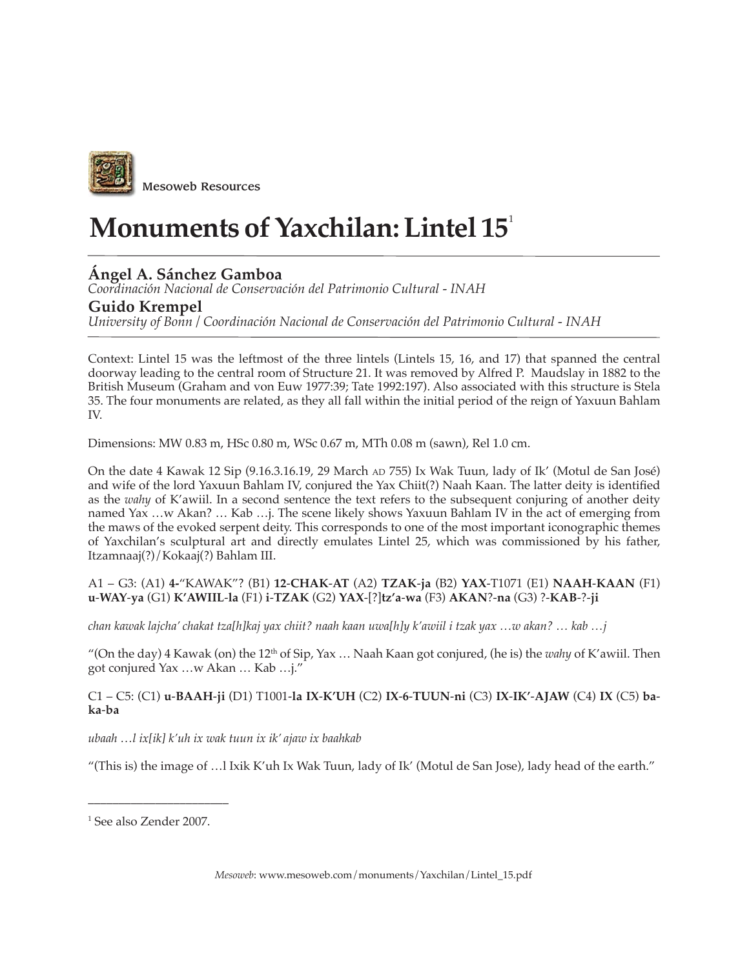

# **Monuments of Yaxchilan: Lintel 15**<sup>1</sup>

## **Ángel A. Sánchez Gamboa**

*Coordinación Nacional de Conservación del Patrimonio Cultural - INAH*

### **Guido Krempel**

*University of Bonn / Coordinación Nacional de Conservación del Patrimonio Cultural - INAH*

Context: Lintel 15 was the leftmost of the three lintels (Lintels 15, 16, and 17) that spanned the central doorway leading to the central room of Structure 21. It was removed by Alfred P. Maudslay in 1882 to the British Museum (Graham and von Euw 1977:39; Tate 1992:197). Also associated with this structure is Stela 35. The four monuments are related, as they all fall within the initial period of the reign of Yaxuun Bahlam IV.

Dimensions: MW 0.83 m, HSc 0.80 m, WSc 0.67 m, MTh 0.08 m (sawn), Rel 1.0 cm.

On the date 4 Kawak 12 Sip (9.16.3.16.19, 29 March AD 755) Ix Wak Tuun, lady of Ik' (Motul de San José) and wife of the lord Yaxuun Bahlam IV, conjured the Yax Chiit(?) Naah Kaan. The latter deity is identified as the *wahy* of K'awiil. In a second sentence the text refers to the subsequent conjuring of another deity named Yax …w Akan? … Kab …j. The scene likely shows Yaxuun Bahlam IV in the act of emerging from the maws of the evoked serpent deity. This corresponds to one of the most important iconographic themes of Yaxchilan's sculptural art and directly emulates Lintel 25, which was commissioned by his father, Itzamnaaj(?)/Kokaaj(?) Bahlam III.

#### A1 – G3: (A1) **4-**"KAWAK"? (B1) **12**-**CHAK**-**AT** (A2) **TZAK**-**ja** (B2) **YAX**-T1071 (E1) **NAAH**-**KAAN** (F1) **u**-**WAY**-**ya** (G1) **K'AWIIL**-**la** (F1) **i**-**TZAK** (G2) **YAX**-[?]**tz'a**-**wa** (F3) **AKAN**?-**na** (G3) ?-**KAB**-?-**ji**

*chan kawak lajcha' chakat tza[h]kaj yax chiit? naah kaan uwa[h]y k'awiil i tzak yax …w akan? … kab …j*

"(On the day) 4 Kawak (on) the 12<sup>th</sup> of Sip, Yax ... Naah Kaan got conjured, (he is) the *wahy* of K'awiil. Then got conjured Yax …w Akan … Kab …j."

#### C1 – C5: (C1) **u**-**BAAH**-**ji** (D1) T1001-**la IX**-**K'UH** (C2) **IX**-**6**-**TUUN**-**ni** (C3) **IX**-**IK'**-**AJAW** (C4) **IX** (C5) **baka**-**ba**

*ubaah …l ix[ik] k'uh ix wak tuun ix ik' ajaw ix baahkab*

"(This is) the image of …l Ixik K'uh Ix Wak Tuun, lady of Ik' (Motul de San Jose), lady head of the earth."

1 See also Zender 2007.

\_\_\_\_\_\_\_\_\_\_\_\_\_\_\_\_\_\_\_\_\_\_\_